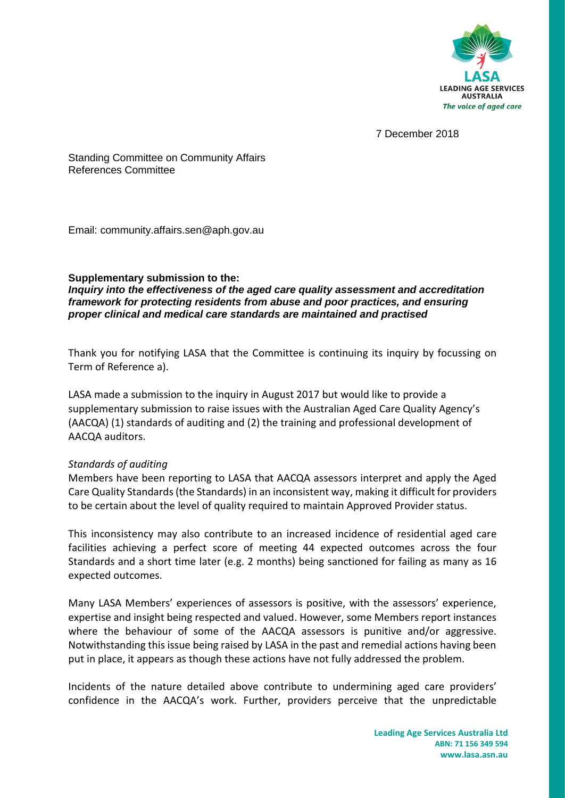

7 December 2018

Standing Committee on Community Affairs References Committee

Email: community.affairs.sen@aph.gov.au

## **Supplementary submission to the:**

*Inquiry into the effectiveness of the aged care quality assessment and accreditation framework for protecting residents from abuse and poor practices, and ensuring proper clinical and medical care standards are maintained and practised*

Thank you for notifying LASA that the Committee is continuing its inquiry by focussing on Term of Reference a).

LASA made a submission to the inquiry in August 2017 but would like to provide a supplementary submission to raise issues with the Australian Aged Care Quality Agency's (AACQA) (1) standards of auditing and (2) the training and professional development of AACQA auditors.

## *Standards of auditing*

Members have been reporting to LASA that AACQA assessors interpret and apply the Aged Care Quality Standards (the Standards) in an inconsistent way, making it difficult for providers to be certain about the level of quality required to maintain Approved Provider status.

This inconsistency may also contribute to an increased incidence of residential aged care facilities achieving a perfect score of meeting 44 expected outcomes across the four Standards and a short time later (e.g. 2 months) being sanctioned for failing as many as 16 expected outcomes.

Many LASA Members' experiences of assessors is positive, with the assessors' experience, expertise and insight being respected and valued. However, some Members report instances where the behaviour of some of the AACQA assessors is punitive and/or aggressive. Notwithstanding this issue being raised by LASA in the past and remedial actions having been put in place, it appears as though these actions have not fully addressed the problem.

Incidents of the nature detailed above contribute to undermining aged care providers' confidence in the AACQA's work. Further, providers perceive that the unpredictable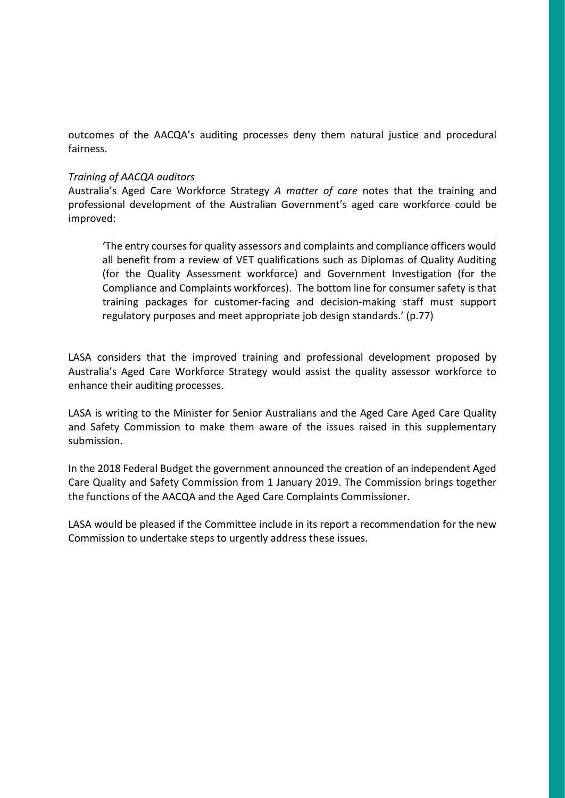outcomes of the AACQA's auditing processes deny them natural justice and procedural fairness.

## *Training of AACQA auditors*

Australia's Aged Care Workforce Strategy *A matter of care* notes that the training and professional development of the Australian Government's aged care workforce could be improved:

'The entry courses for quality assessors and complaints and compliance officers would all benefit from a review of VET qualifications such as Diplomas of Quality Auditing (for the Quality Assessment workforce) and Government Investigation (for the Compliance and Complaints workforces). The bottom line for consumer safety is that training packages for customer-facing and decision-making staff must support regulatory purposes and meet appropriate job design standards.' (p.77)

LASA considers that the improved training and professional development proposed by Australia's Aged Care Workforce Strategy would assist the quality assessor workforce to enhance their auditing processes.

LASA is writing to the Minister for Senior Australians and the Aged Care Aged Care Quality and Safety Commission to make them aware of the issues raised in this supplementary submission.

In the 2018 Federal Budget the government announced the creation of an independent Aged Care Quality and Safety Commission from 1 January 2019. The Commission brings together the functions of the AACQA and the Aged Care Complaints Commissioner.

LASA would be pleased if the Committee include in its report a recommendation for the new Commission to undertake steps to urgently address these issues.